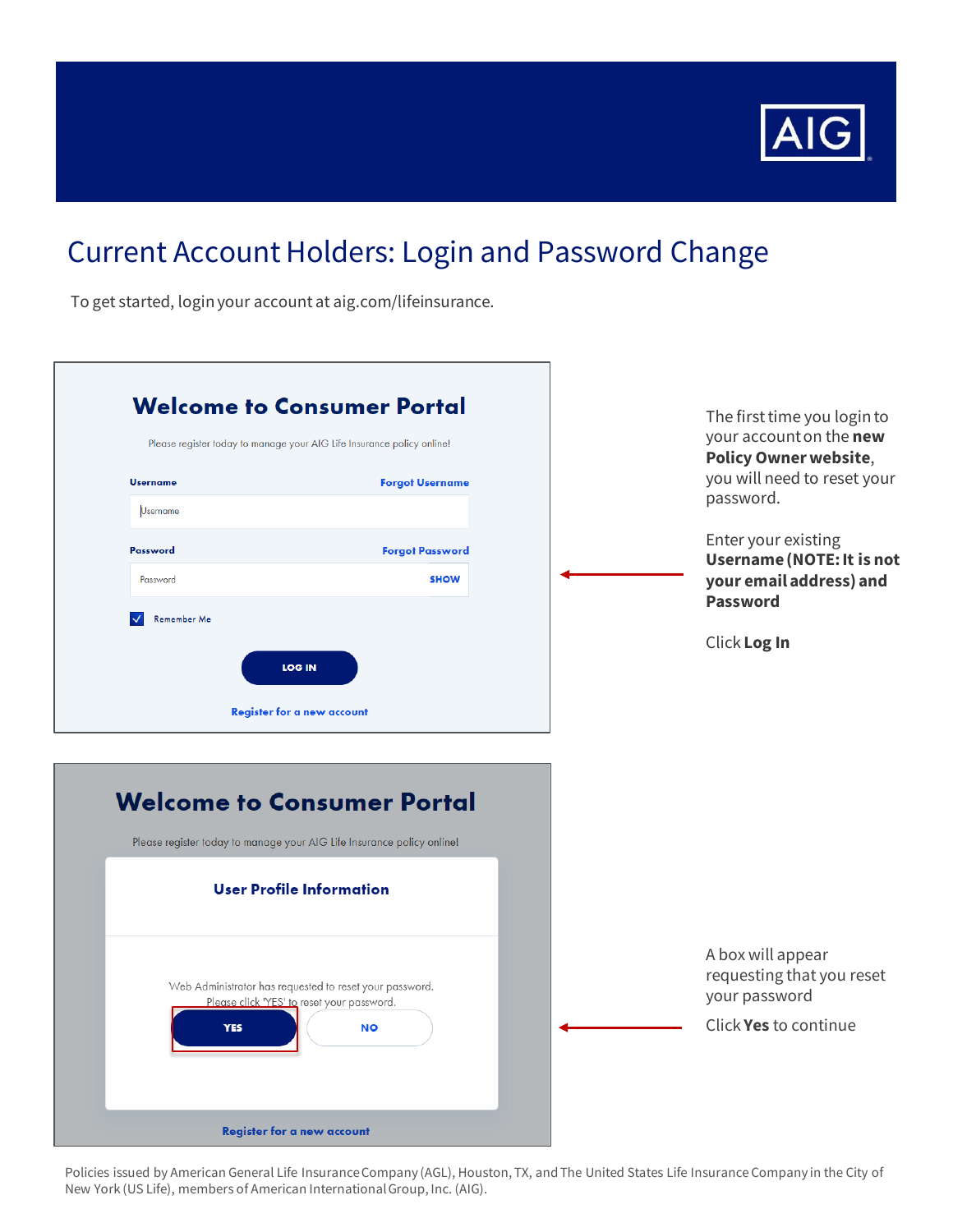

## Current Account Holders: Login and Password Change

To get started, login your account at aig.com/lifeinsurance.

| Please register today to manage your AIG Life Insurance policy online! |                                                                                                       | The first time you login to<br>your account on the new                   |
|------------------------------------------------------------------------|-------------------------------------------------------------------------------------------------------|--------------------------------------------------------------------------|
| <b>Username</b>                                                        | <b>Forgot Username</b>                                                                                | <b>Policy Owner website,</b><br>you will need to reset your<br>password. |
| <b>Username</b>                                                        |                                                                                                       |                                                                          |
| Password                                                               | <b>Forgot Password</b>                                                                                | Enter your existing<br><b>Username (NOTE: It is not</b>                  |
| Password                                                               | <b>SHOW</b>                                                                                           | your email address) and<br><b>Password</b>                               |
| Remember Me                                                            |                                                                                                       |                                                                          |
|                                                                        |                                                                                                       | Click Log In                                                             |
|                                                                        | <b>LOG IN</b>                                                                                         |                                                                          |
|                                                                        |                                                                                                       |                                                                          |
|                                                                        | <b>Register for a new account</b>                                                                     |                                                                          |
|                                                                        |                                                                                                       |                                                                          |
|                                                                        |                                                                                                       |                                                                          |
|                                                                        | <b>Welcome to Consumer Portal</b>                                                                     |                                                                          |
|                                                                        | Please register today to manage your AIG Life Insurance policy online!                                |                                                                          |
|                                                                        |                                                                                                       |                                                                          |
|                                                                        | <b>User Profile Information</b>                                                                       |                                                                          |
|                                                                        |                                                                                                       |                                                                          |
|                                                                        |                                                                                                       | A box will appear                                                        |
|                                                                        | Web Administrator has requested to reset your password.<br>Please click 'YES' to reset your password. | requesting that you reset<br>your password                               |
| <b>YES</b>                                                             | <b>NO</b>                                                                                             | Click Yes to continue                                                    |

Policies issued by American General Life Insurance Company (AGL), Houston, TX, and The United States Life Insurance Company in the City of New York (US Life), members of American International Group, Inc. (AIG).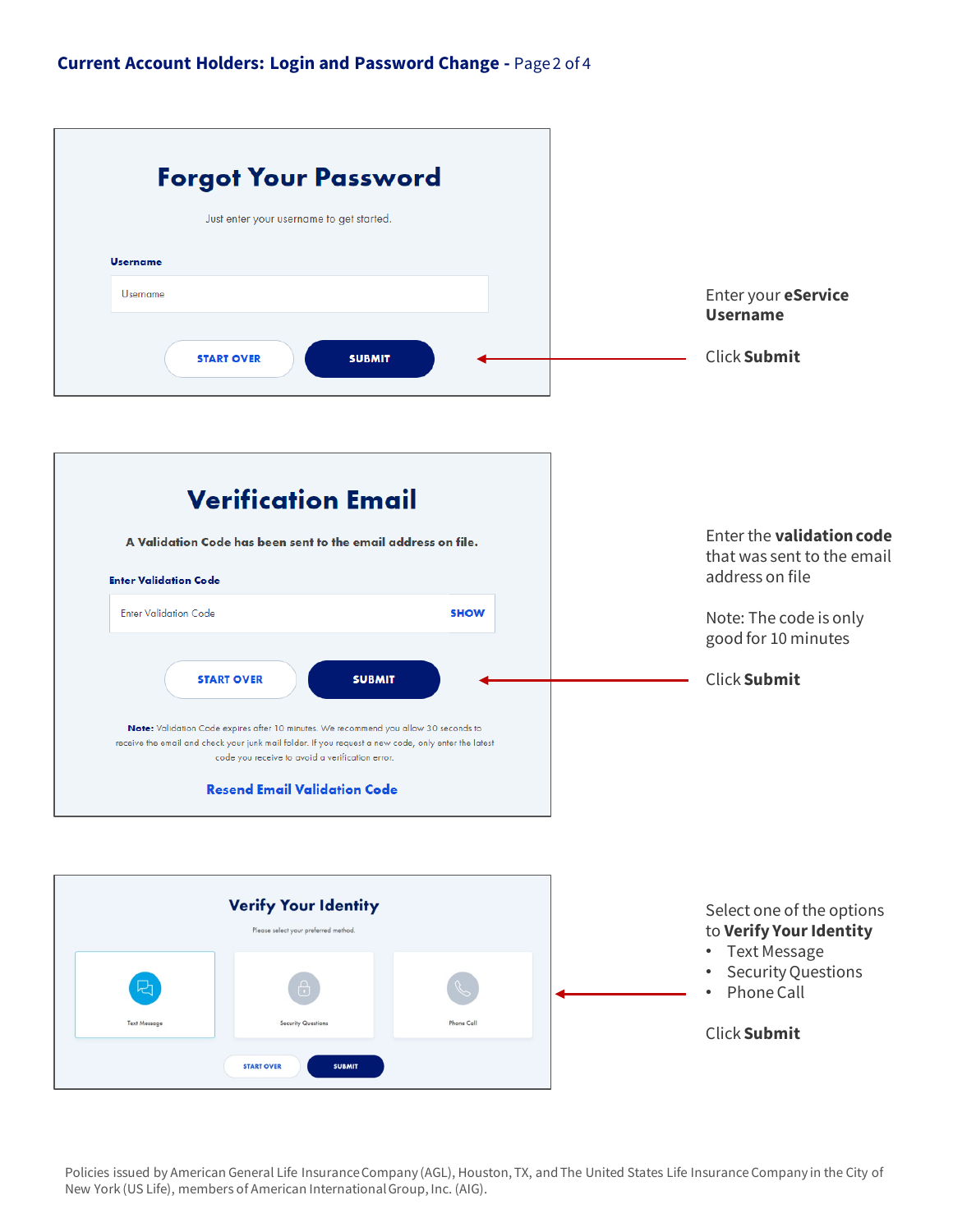| <b>Forgot Your Password</b>                                                                                                                                                                                                                    |                                                                                               |
|------------------------------------------------------------------------------------------------------------------------------------------------------------------------------------------------------------------------------------------------|-----------------------------------------------------------------------------------------------|
| Just enter your username to get started.                                                                                                                                                                                                       |                                                                                               |
| <b>Username</b>                                                                                                                                                                                                                                |                                                                                               |
| <b>Username</b>                                                                                                                                                                                                                                | Enter your eService<br><b>Username</b>                                                        |
| <b>START OVER</b><br><b>SUBMIT</b>                                                                                                                                                                                                             | Click Submit                                                                                  |
| <b>Verification Email</b>                                                                                                                                                                                                                      |                                                                                               |
|                                                                                                                                                                                                                                                |                                                                                               |
| A Validation Code has been sent to the email address on file.                                                                                                                                                                                  | Enter the <b>validation code</b><br>that was sent to the email                                |
| <b>Enter Validation Code</b>                                                                                                                                                                                                                   | address on file                                                                               |
| <b>Enter Validation Code</b><br><b>SHOW</b>                                                                                                                                                                                                    | Note: The code is only<br>good for 10 minutes                                                 |
| <b>START OVER</b><br><b>SUBMIT</b>                                                                                                                                                                                                             | <b>Click Submit</b>                                                                           |
| Note: Validation Code expires after 10 minutes. We recommend you allow 30 seconds to<br>receive the email and check your junk mail folder. If you request a new code, only enter the latest<br>code you receive to avoid a verification error. |                                                                                               |
| <b>Resend Email Validation Code</b>                                                                                                                                                                                                            |                                                                                               |
|                                                                                                                                                                                                                                                |                                                                                               |
| <b>Verify Your Identity</b><br>Please select your preferred method.                                                                                                                                                                            | Select one of the options<br>to Verify Your Identity                                          |
| $\bigoplus$                                                                                                                                                                                                                                    | <b>Text Message</b><br>$\bullet$<br><b>Security Questions</b><br>٠<br>Phone Call<br>$\bullet$ |
| <b>Security Questions</b><br><b>Phone Call</b><br><b>Text Message</b>                                                                                                                                                                          | <b>Click Submit</b>                                                                           |
| <b>START OVER</b><br><b>SUBMIT</b>                                                                                                                                                                                                             |                                                                                               |

Policies issued by American General Life Insurance Company (AGL), Houston, TX, and The United States Life Insurance Company in the City of New York (US Life), members of American International Group, Inc. (AIG).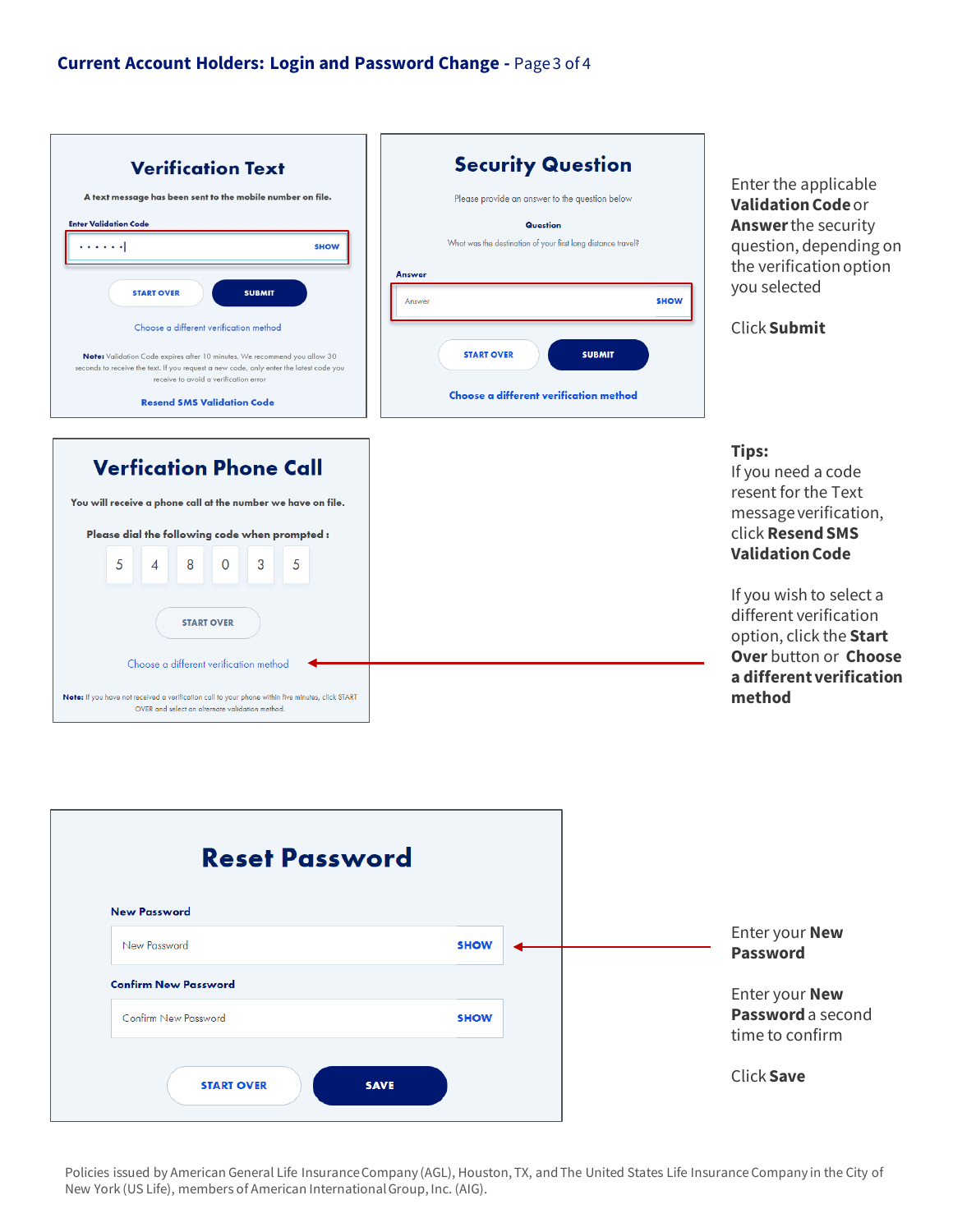



Policies issued by American General Life Insurance Company (AGL), Houston, TX, and The United States Life Insurance Company in the City of New York (US Life), members of American International Group, Inc. (AIG).